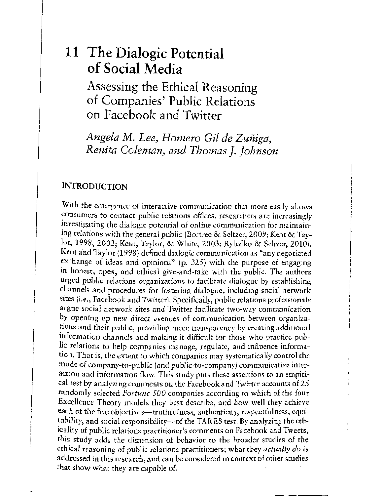Assessing the Ethical Reasoning of Companies' Public Relations on Facebook and Twitter

*Angela M. Lee, Homero Gil de Zuniga, Renita Coleman, and Thomas]. Johnson* 

## INTRODUCTION

With the emergence of interactive communication that more easily allows consumers to contact public relations offices, researchers are increasingly investigating the dialogic potential of online communication for maintaining relations with the general public (Bortrec & Seltzer, 2009; Kent & Taylor, 1998, 2002; Kent, Taylor, & White, 2003; Ryba1ko & Seltzer, 2010). Kent and Taylor (1998) defined dialogic communication as "any negotiated exchange of ideas and opinions" {p. 325) with the purpose of engaging in honest, open, and ethical give-and-take with the public. The authors urged public relations organizations to facilitate dialogue by establishing channels and procedures for fostering dialogue, including social network sites (i.e., Facebook and Twitter). Specifically, public relations professionals argue social network sires and Twitter facilitate two-way communication by opening up new direct avenues of communication between organizations and their public, providing more transparency by creating additional information channels and making it difficult for those who practice public relations to help companies manage, regulate, and influence information. That is, the extent to which companies may systematically control the mode of company-to-public (and public-to-company) communicative inreraction and information flow. This study puts these assercions to an empirical test by analyzing comments on the Facebook and Twitter accounts of  $25$ randomly selected *Fortune 500* companies according to which of the four Excellence Theory models they best describe, and how well they achieve ndomly selected *Fortune 500* companies according to which of the four<br>scellence Theory models they best describe, and how well they achieve<br>ch of the five objectives—truthfulness, authenticity, respectfulness, equiteellence Theory models they best describe, and how well they achieve<br>ch of the five objectives—truthfulness, authenticity, respectfulness, equi-<br>bility, and social responsibility—of the TARES test. By analyzing the ethtability, and social responsibility—of the TARES test. By analyzing the ethicality of public relations practitioner's comments on Facebook and Tweets, this study adds the dimension of behavior to the broader studies of the ethical reasoning of public relations practitioners; what they *actually do* is addressed in this research, and can be considered in context of other studies that show what they are capable of.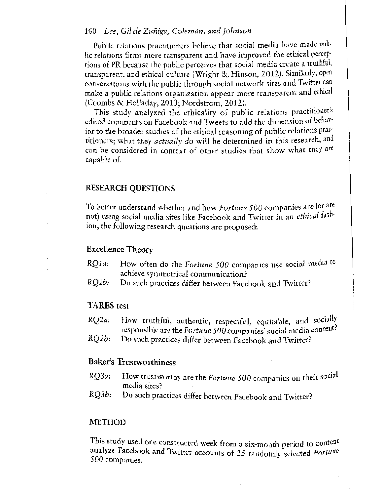#### 160 *Lee, Gil de Zuniga, Coleman, and Johnson*

Public relations practitioners believe that social media have made pub-Public relations practitioners believe that social media have made parlic relations firms more transparent and have improved the ethical perceptions of PR because the public perceives that social media create a truthful, transparent, and ethical culture (Wright & Hinson, 2012). Similarly, open conversations with the public through social network sites and Twitter can make a public relations organization appear more transparent and ethical (Coombs & Holladay, 2010; Nordstrom, 2012).  $T$ hus  $\alpha$  Holladay, 2010; Nordstrom, 2012).

I has study analyzed the ethicality of public relations practitionals edited comments on Facebook and Tweets to add the dimension of behavior to the broader studies of the ethical reasoning of public relations practitioners; what they actually do will be determined in this research, and can be considered in context of other studies that show what they are capable of.

#### RESEARCH QUESTIONS

 $T_{\rm tot}$  is the probability of  $T_{\rm tot}$  or  $T_{\rm tot}$   $\sim$   $T_{\rm tot}$   $\sim$   $T_{\rm tot}$   $\sim$   $T_{\rm tot}$   $\sim$   $T_{\rm tot}$   $\sim$   $T_{\rm tot}$   $\sim$   $T_{\rm tot}$   $\sim$   $T_{\rm tot}$   $\sim$   $T_{\rm tot}$   $\sim$   $T_{\rm tot}$   $\sim$   $T_{\rm tot}$   $\sim$   $T_{\rm tot}$   $\sim$   $T_{\rm tot}$  not) using social media sites like Facebook and Twitter in an *ethical* fashnot) using social media sites like Facebook and Twitter in an *ethical* fashion, the following research questions are proposed:

## Excellence Theory

- *RQla:* How often do the *Fortune 500* companies use social media to ow often do the *Fortune* 500 compa achieve symmetrical communication?<br>*RQ1b:* Do such practices differ between Facebook and Twitter?
- 

#### TARES test

- *RQ2a:* How truthful, authentic, respectful, equitable, and socially ow truthrul, authentic, respectful, equitable, and socially *RQ2b:* Do such practices differ between Facebook and Twitter?
- 

#### Baker's Trustworthiness

- *RQ3a:* How trustworthy are the *Fortune 500* companies on their social we trustworthy are the media sites?<br>*RQ3b:* Do such practices differ between Facebook and Twitter?
- 

#### METHOD

 $\frac{1}{\sqrt{2}}$ and a study used one constructed week from a six-month period to content analyze Facebook and Twitter accounts of 25 randomly selected Fortune 500 companies.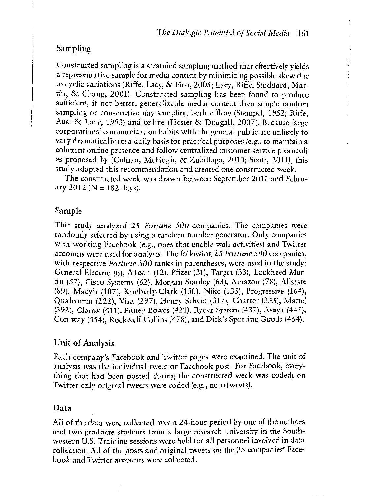## Sampling

Constructed sampling is a stratified sampling method that effectively yields a representative sample for media content by minimizing possible skew due to cyclic variations (Riffe, Lacy, & Fico, 2005; Lacy, Riffe, Stoddard, Martin, & Chang, 2001). Constructed sampling has been found to produce sufficient, if not better, generalizable media content than simple random sampling or consecutive day sampling both offline (Stempel, 1952; Riffe, Aust & Lacy, 1993) and online (Hester & Dougall, 2007). Because large corporations' communication habits with the general public are unlikely to vary dramatically on a daily basis for practical purposes (e.g., to maintain a coherent onlinc presence and follow centralized customer service protocol) as proposed by {Culnan, McHugh, & Zubillaga, 2010; Scott, 2011), this study adopted this recommendation and created one constructed week.

The constructed week was drawn between September 2011 and February 2012 (N = 182 days).

## Sample

This study analyzed 25 *Fortune 500* companies. The companies were randomly selected by using a random number generator. Only companies with working Facebook (e.g., ones that enable wall activities) and Twitter accounts were used for analysis. The foJlowing 25 *Fortune 500* companies, with respective *Fortune 500* ranks in parentheses, were used in the study: General Electric (6), AT&T (12), Pfizer (31), Target (33), Lockheed Martin (52), Cisco Systems (62), Morgan Stanley (63), Amazon (78), Allstate {89), Macy's {107), Kimberly-Clark (130), Nike (135), Progressive (164), Qualcomm (222), Visa (297), Henry Schein (317), Charter (333), Mattel (392), Clorox (411}, Pitney Bowes (421), Ryder System (437), Avaya (445), Con-way {454)) Rockwell Collins (478), and Dick's Sporring Goods (464).

## Unit of Analysis

Each company's Facebook and Twitter pages were examined. The unit of analysis was the individual tweet or Facebook post. For Facebook, everything that had been posted during the constructed week was coded; on Twitter only original tweets were coded (e.g., no retweets).

#### Data

All of the data were collected over a 24-hour period by one of the authors and two graduate students from a large research university in the Southwestern U.S. Training sessions were held for all personnel involved in data collection. All of the posts and original tweets on the 25 companies' Facebook and Twitter accounts were collected.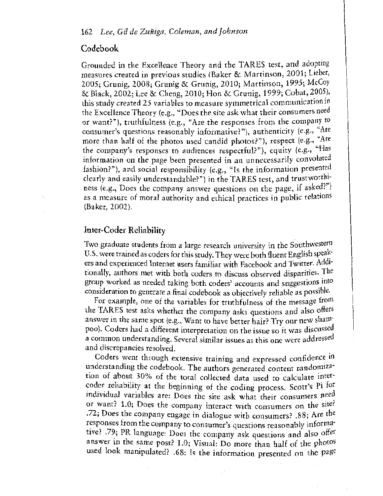#### Codebook

Grounded in the Excellence Theory and the TARES test, and adopting ounded in the Excellence Theory and the TARES test, and adopting measures created in previous studies (Baker & Martinson, 2001; Lieber, 2005; Grunig, 2008; Grunig & Grunig, 2010; Martinson, 1995; McCoy & Black, 2002; Lee & Cheng, 2010; Hon & Grunig, 1999; Cobat, 2005), this study created 25 variables to measure symmetrical communication in the Excellence Theory (e.g., "Does the site ask what their consumers need or want?"), truthfulness (e.g., "Are the responses from the company to consumer's questions reasonably informative?"), authenticity (e.g., "Are more than half of the photos used candid photos?"), respect (e.g., "Are the company's responses to audiences respectful?"), equity (e.g., "Has information on the page been presented in an unnecessarily convoluted fashion?"), and social responsibility (e.g., "Is the information presented clearly and easily understandable?") in the TARES test, and trustworthiness (e.g., Does the company answer questions on the page, if asked?") as a measure of moral authority and ethical practices in public relations (Baker, 2002).

#### Inter-Coder Reliability

 $T_{\text{max}}$  graduate studients from a large research university in the Southwestern university in the Southwestern U.S. u.s. we conclude a students from a large research university in the Southwestern speak-U.S. were trained as coders for this study. They were both fluent English speakers and experienced Internet users familiar with Facebook and Twitter. Additionally, authors met with both coders to discuss observed disparities. The group worked as needed taking both coders' accounts and suggestions into consideration to generate a final codebook as objectively reliable as possible.

For example, one of the variables for truthfulness of the message from the TARES test asks whether the company asks questions and also offers answer in the same spot (e.g., Want to have better hair? Try our new shampoo). Coders had a different interpretation on the issue so it was discussed a common understanding. Several similar issues as this one were addressed<br>and discrepancies resolved.  $\alpha$  contributes  $\alpha$  is the confidence in the extensive training and expressed confidence in the confidence in  $\alpha$ 

Logers went through extensive training and expressed confidence  $\mu$ understanding the codebook. The authors generated content randomization of about 30% of the total collected data used to calculate intercoder reliability at the beginning of the coding process. Scott's Pi for individual variables are: Does the site ask what their consumers need or want? 1.0; Does the company interact with consumers on the site? .72; Does the company engage in dialogue with consumers? .88; Are the responses from the company to consumer's questions reasonably informative? .79; PR language: Does the company ask questions and also offer answer in the same post? 1.0; Visual: Do more than half of the photos used look manipulated? .68; Is the information presented on the page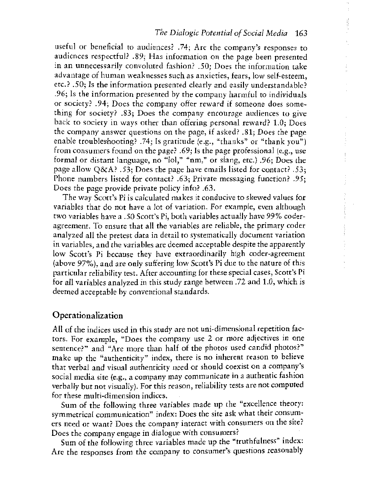ii<br>Si

Ì.  $\bar{\mathbb{R}}^3$ 

useful or beneficial to audiences? .74; Are the company's responses to audiences respectful? .89; Has information on the page been presented in an unnecessarily convoluted fashion? .50; Does the information take advantage of human weaknesses such as anxieties, fears, low self-esteem, ere.? .50; ls the information presented clearly and easily understandable? .96; Is the information presented by the company harmful to individuals or society? .94; Does the company offer reward if someone does something for society? .83; Does the company encourage audiences to give back to society in ways other than offering personal reward? 1.0; Does the company answer questions on the page, if asked? .81; Does the page enable troubleshooting? .74; Is gratitude (e.g., "thanks" or "thank you"] from consumers found on the page? .69; Is the page professional (e.g., use formal or distant language, no "lol," "nm," or slang, etc.) .96; Does the page allow Q&A? .53; Does the page have emails listed for contact? .53; Phone numbers listed for contact? .63; Private messaging function? .95; Docs the page provide private policy info? .63.

The way Scott's Pi is calculated makes it conducive to skewed values for variables rhat do not have a lot of variation. For example, even although two variables have a .50 Scott's Pi, both variables actually have 99% coderagreement. To ensure that alt the variables are reliable, the primary coder analyzed all the pretest data in detail to systematically document variation in variables, and the variables are deemed acceptable despite the apparently low Scott's Pi because they have extraordinarily high coder-agreement (above 97%), and are only suffering low Scott's Pi due to the nature of this particular reliability test. After accounting for these special cases, Scott's Pi for all variables analyzed in this study range between .72 and 1.0, which is deemed acceptable by conventional standards.

#### Operationalization

All of the indices used in this study are not uni-dimensional repetition factors. For example, "Does the company use 2 or more adjectives in one sentence?" and "Arc more than half of the photos used candid photos?" make up the "authenticity" index, there is no inherent reason to believe that verbal and visual authenticity need or should coexist on a company's social media site (e.g., a company may communicate in a authentic fashion verbally but not visually). For this reason, reliability tests are not computed for these multi-dimension indices.

Sum of the following three variables made up the "excellence theory: symmetrical communication" index: Does the site ask what their consumers need or want? Does the company interact with consumers on the site? Does the company engage in dialogue with consumers?

Sum of the following three variables made up the "truthfulness" index: Are the responses from the company to consumer's questions reasonably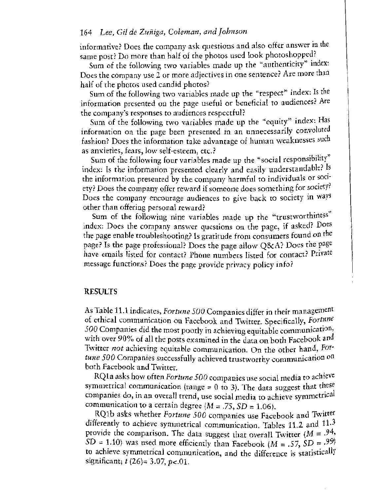## <sup>164</sup>*Lee, Gil de Zuniga, Coleman, and Johnson*

 $\epsilon$  does the company as the company as the company as the company as the company as the company as  $\epsilon$ formative? Does the company ask questions and also offer answer in the photoshopped? same post? Do more than half of the photos used look photoshopped?

Sum of the following two variables made up the "authenticity" index: Does the company use 2 or more adjectives in one sentence? Are more than half of the photos used candid photos? of the photos used candid photos:<br>Sum of the "respect" index: Is the

Sum of the following two variables made up the  $\frac{1}{2}$  respect the page of  $\frac{1}{2}$ information presented on the page useful or beneficial to audiences? Are the company's responses to audiences respectful? ompany's responses to audiences respectful?

Sum of the following two variables made up the "equity index; that information on the page been presented in an unnecessarily convoluted fashion? Does the information take advantage of human weaknesses such<br>as anxieties, fears, low self-esteem, etc.?  $\mathbf{S}$  is the following four variables matrix  $\mathbf{S}$  ... so the social responsibility.

Sum of the following four variables made up the "social responsibility" index: Is the information presented clearly and easily understandable? Is the information presented by the company harmful to individuals or society? Does the company offer reward if someone does something for society? Does the company encourage audiences to give back to society in ways other than offering personal reward? sthan offering personal reward?<br>Sum of the following intervals in the trust worthiness"

Sum of the following nine variables made up the "trustworthiness" index: Does the company answer questions on the page, if asked? Does the page enable troubleshooting? Is gratitude from consumers found on the page? Is the page professional? Does the page allow Q&A? Does the page have emails listed for contact? Phone numbers listed for contact? Private message functions? Does the page provide privacy policy info?

#### RESULTS

As Table 11.1 indicates, *Fortune 500* Companies differ in their management of table 11.1 indicates, *Fortune 500* Companies differ in their management. of ethical communication on Facebook and Twitter. Specifically, Fortune 500 Companies did the most poorly in achieving equitable communication, with over 90% of all the posts examined in the data on both Facebook and Twitter not achieving equitable communication. On the other hand, Fortune 500 Companies successfully achieved trustworthy communication on<br>both Facebook and Twitter. racebook and lwitter.<br>Ola asks how often *Fortune* 500 companies use in the achieve

 $\frac{1}{2}$  symmetries are symmetrical communication (range  $\frac{1}{2}$ ). The definition of the these symmetrical communication (range = 0 to 3). The data suggest that these companies do, in an overall trend, use social media to achieve symmetrical communication to a certain degree  $(M = .75, SD = 1.06)$ .

RQ1b asks whether Fortune 500 companies use Facebook and Twitter differently to achieve symmetrical communication. Tables 11.2 and 11.3 provide the comparison. The data suggest that overall Twitter ( $M = .94$ )  $SD = 1.10$ ) was used more efficiently than Facebook ( $M = .57$ ,  $SD = .99$ ) to achieve symmetrical communication, and the difference is statistically significant;  $t$  (26)= 3.07,  $p$ <.01.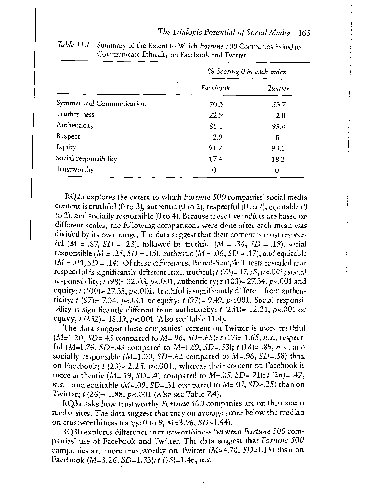|                           | % Scoring 0 in each index |         |
|---------------------------|---------------------------|---------|
|                           | Facebook                  | Twitter |
| Symmetrical Communication | 70.3                      | 53.7    |
| Truthfulness              | 22.9                      | 2.0     |
| Authenticity              | 81.1                      | 95.4    |
| Respect                   | 2.9                       | 0       |
| Equity                    | 91.2                      | 93.1    |
| Social responsibility     | 17.4                      | 18.2    |
| Trustworthy               | 0                         | 0       |

*Table 11.1* Summary of the Extent to Which *Fortune 500* Companies Failed to Communicate Ethically on Facebook and Twitter

RQ2a explores the extent to which *Fortune 500* companies' social media content is truthful (0 to 3), authentic (0 to 2), respectful (0 to 2), equitable (0 to 2), and socially responsible (0 to 4). Because these five indices are based on different scales, the following comparisons were done after each mean was divided by its own range. The data suggest that their content is most respectful ( $M = .87$ ,  $SD = .23$ ), followed by truthful ( $M = .36$ ,  $SD = .19$ ), social responsible ( $M = .25$ ,  $SD = .15$ ), authentic ( $M = .06$ ,  $SD = .17$ ), and equitable  $(M = .04, SD = .14)$ . Of these differences, Paired-Sample T tests revealed that respectful is significantly different from truthful; *t* (73)= 17.35, *p<.001;* social responsibility; *t* (98)= 22.03, p<.001, authenticity; *t* (103)= 27.34, *p<.001* and equity; *t* (100)= 27.33, *p<.001.* Truthful is significantly different from authenticity; *t* (97)= 7.04, p<.001 or equity; *t* (97)= 9.49, *p<.001.* Social responsibility is significantly different from authenticity; *t* (251)= 12.21, *p<.001* or equity; *t* (252)= 18.19, *p<.001* (Also see Table 11.4).

The data suggest these companies' content on Twitter is more truthful {M=1.20, SD=.45 compared to *M=.96,* SD=.65}; *t* (17)= 1.65, *n.s.,* respectful (M=1.76, *SD*=.43 compared to *M*=1.69, *SD*=.53); *t* (18)= .89, *n.s.*, and socially responsible (M=1.00, SD=.62 compared to *M=.96,* SD=.58) than on Facebook; *t* (23)= 2.25, *p<.001.,* whereas their content on Facebook is more authentic ( $M=.19$ ,  $SD=.41$  compared to  $M=.05$ ,  $SD=.21$ );  $t (26)=.42$ , *n.s.*, and equitable *(M=.09, SD=.31* compared to *M=.07, SD=.25)* than on Twitter; *t* (26)= 1.88, *p<.001* (Also see Table 7.4).

RQ3a asks how trustworthy *Fortune 500* companies are on their social media asks now trustworthy *Fortune* 500 companies are on their social on trustworthiness (range 0 to 9, M=3.96, SD=1.44).

RQ3b explores difference in trustworthiness between *Fortune 500* companies' use of Facebook and Twitter. The data suggest that *Fortune 500*  companies are more trustworthy on Twitter ( $M=4.70$ ,  $SD=1.15$ ) than on Facebook (*M*=3.26, *SD*=1.33); *t* (15)=1.46, *n.s.*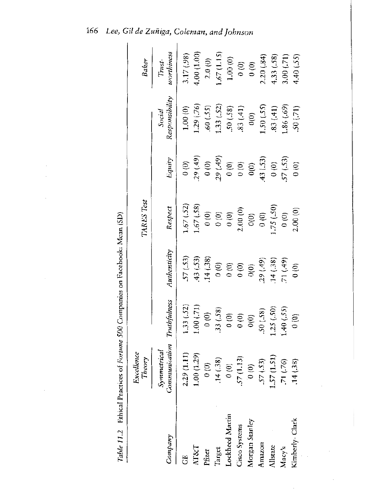|                       | Excellence<br>Theory                   |                 |                    | TARES Test    |                                        |                          | Baker                |
|-----------------------|----------------------------------------|-----------------|--------------------|---------------|----------------------------------------|--------------------------|----------------------|
| Company               | Communication<br>Symmetrical           | Truthfulness    | Authenticity       | Respect       | Equity                                 | Responsibility<br>Social | worthiness<br>Trust- |
| Ë                     | 2.29(1.11)                             | (.52)<br>133    | 57(.53)            | .67(.52)      | $rac{1}{2}$                            | 1.00(0)                  | 3.17 (.98)           |
| <b>AT&amp;T</b>       | 1.00(1.29)                             | (71)<br>1.00    | 43(.53)            | 1.67(.58)     | $(64)$ ( $(49)$                        | 1.29(76)                 | 4.00(1.00)           |
| Pfizer                | $\overline{0}$                         | $\widehat{c}$   | (14(0.38))         |               | $\begin{pmatrix} 0 \\ 0 \end{pmatrix}$ | .60(.55)                 | $2.0\left(0\right)$  |
| Target                | .14(.38)                               | .33(.58)        | $\frac{1}{2}$      |               | .29(.49)                               | 1.33(5.52)               | .67(1.15)            |
| ockheed Martin        | $\frac{1}{2}$                          | (0)             | 0(0)               |               | 0(0)                                   | .50(.58)                 | 1.00(0)              |
| Cisco Systems         | .57(1.13)                              | $\frac{6}{6}$   | $\circ$            | 2.00(0)       | (0)                                    | .83(41)                  | $\frac{1}{2}$        |
| Morgan Stanley        | $\begin{pmatrix} 0 \\ 0 \end{pmatrix}$ | $\widetilde{Q}$ | $\widetilde{O}(0)$ | $O(0)$        | $\widehat{O}(0)$                       | 0(0)                     | $\frac{1}{2}$        |
| imazon                | .57(.53)                               | $(85)$ $(55)$   | .29(.49)           | (0)           | 43(.53)                                | 1.50(.55)                | 2.20(.84)            |
| llstate               | 1.57 (1.51)                            | (50)<br>1.25    | 14(.38)            | 1.75(.50)     | $\overline{0}$                         | .83(41)                  | 4.33(.58)            |
| Aacy's                | .71 (.76)                              | (55)<br>1.40    | $(64)$ $(7)$       | $\frac{1}{2}$ | 57(.53)                                | (.86 (.69)               | 3.00(71)             |
| <b>Gimberly-Clark</b> | .14(.38)                               | 0(0)            | $\circ$ (0)        | 2.00(0)       | $\frac{1}{2}$                          | 50(.71)                  | 4.40 (.55)           |

Table 11.2 Fireal Practices of Fortune 500 Companies on Facebook: Mean (SD)

 $\bar{z}$ 

# 166 Lee, Gil de Zuñiga, Coleman, and Johnson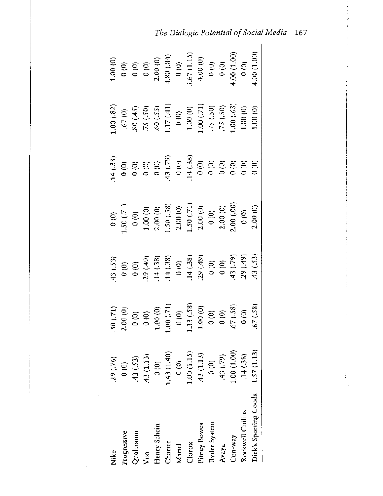| Nike                  | .29(.76)           | (171)                                  | (53, 43)      |               | (14(.38))                              | 1.00(.82)     | 1.00(0)                                           |
|-----------------------|--------------------|----------------------------------------|---------------|---------------|----------------------------------------|---------------|---------------------------------------------------|
|                       |                    |                                        |               | $\frac{1}{2}$ |                                        |               |                                                   |
| Progressive           | $\frac{1}{2}$      | 2.00(0)                                | 0(0)          | $(.50\,(.71)$ | $\frac{1}{2}$                          | .67(0)        | $\overline{0}$ (0)                                |
| Qualcomm              | .43(.53)           | $\frac{6}{6}$                          | $0\ (0)$      | $\frac{1}{2}$ | 0(0)                                   | (54)08.       | $\begin{array}{c} 0 & (0) \\ 0 & (0) \end{array}$ |
| Visa                  | 43 (1.13)          | 0(0)                                   | (49, 29)      | 1.00(0)       | (0)                                    | .75(.50)      |                                                   |
| Henry Schein          | $\frac{1}{2}$      | $(0)$ $(0)$                            | .14(.38)      | 2.00(0)       | $\frac{1}{2}$                          | .60(.55)      | 2.00(0)                                           |
| Charter               | 1.43(1.40)         | 1.00(71)                               | .14(.38)      | 1.50(.58)     | $(62)$ (.79)                           | 1.17(41)      | 4.80(0.84)                                        |
| Mattel                | $\overline{0}$ (0) | $\begin{pmatrix} 0 \\ 0 \end{pmatrix}$ | 0(0)          | 2.00(0)       | $\circ$                                | (0)           | $\frac{1}{2}$                                     |
| Clorox                | 1.00(1.15)         | 1.33(.58)                              | .14(.38)      | 1.50(71)      | .14(.38)                               | 1.00(0)       | 3.67(1.15)                                        |
| Pitney Bowes          | .43(1.13)          | 1.00(0)                                | (49)          | 2.00(0)       | 0(0)                                   | 1.00(71)      | 4,00 (0)                                          |
| Ryder System          | $\frac{1}{2}$      | $\frac{1}{2}$                          | 0(0)          | $\frac{1}{2}$ | $\begin{pmatrix} 0 \\ 0 \end{pmatrix}$ | $(05.)$ 57.   | 0(0)                                              |
| Avaya                 | .43(.79)           | 0(0)                                   | $\frac{1}{2}$ | 2.00(0)       | $\overline{0}$ (0)                     | $(05.)$ $57.$ | (0)                                               |
| Con-way               | 1.00(1.00)         | (67, 158)                              | (43(.79)      | 2.00(0.00)    | $\frac{1}{2}$                          | 1.00(0.63)    | 4.00 (1.00)                                       |
| Rockwell Collins      | .14(.38)           | $\frac{1}{2}$                          | .29(.49)      | $\frac{1}{2}$ |                                        | 1.00(0)       | $\frac{1}{2}$                                     |
| Dick's Sporting Goods | 1.57(1.13)         | .67(.58)                               | .43(.53)      | 2.00(0)       | $\frac{1}{2}$                          | 1.00(0)       | 4.00(1.00)                                        |
|                       |                    |                                        |               |               |                                        |               |                                                   |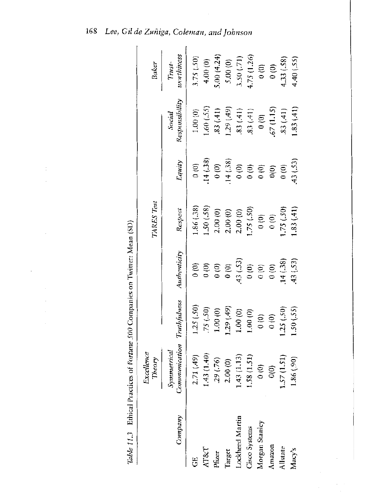|                 | Excellence<br>Theory                      |                |                | TARES Test     |                     |                                        | Baker                                  |
|-----------------|-------------------------------------------|----------------|----------------|----------------|---------------------|----------------------------------------|----------------------------------------|
| Company         | Communication Truthfulness<br>Symmetrical |                | Authenticity   | Respect        | Equity              | Responsibility<br>Social               | vortbiness<br>Trust-                   |
| 5               | 2.71(49)                                  | 1.25(.50)      | $\circ$        | 1.86 (.38)     | $\left( 0\right) 0$ | 1.00(0)                                | 3.75 (.50)                             |
| AT&T            | 1.43(1.40)                                | $(05)$ 57.     | (0)            | 1.50(.58)      | 14(0.38)            | 1.60(.55)                              | 4,00 (0)                               |
| Pfizer          | .29(.76)                                  | 1.00(0)        | $\ddot{0}$ (0) | 2.00(0)        | $\frac{1}{2}$       | (141)                                  | 5.00(4.24)                             |
| Target          | 2.00(0)                                   | 1.29(49)       | $\frac{1}{2}$  | 2.00(0)        | .14(.38)            | $(54)$ $(57)$                          | 5.00(0)                                |
| Lockheed Martin | 1.43(1.13)                                | 1.00(0)        | .43(.53)       | 2.00(0)        | 0(0)                | .83(41)                                | 3.50 (.71)                             |
| Cisco Systems   | 1.58(1.51)                                | ê<br>$1.00\,($ | (0)            | .75(.50)       | 0(0)                | .83(41)                                | 4.75(1.26)                             |
| Morgan Stanley  | $\frac{1}{2}$                             | $\frac{1}{2}$  | 0(0)           | $\frac{1}{2}$  | $\circ$ (0)         | $\begin{pmatrix} 0 \\ 0 \end{pmatrix}$ | $\begin{pmatrix} 0 \\ 0 \end{pmatrix}$ |
| Amazon          | $\widehat{O}(0)$                          | $\frac{1}{2}$  | $\frac{1}{2}$  | $\overline{0}$ | 0(0)                | 67 (1.15)                              | 0(0)                                   |
| Allstate        | 1.57(1.51)                                | (0.51)         | 14(0.38)       | $(05.)$ 57.    | $\overline{0}$      | $(11)$ $(83)$                          | 4.33 (.58)                             |
| Macy's          | 1.86 (.90)                                | 1.50(.55)      | 43 (.53)       | .83(41)        | 43(.53)             | (.83(41)                               | 4.40 (.55)                             |

168 Lee, Gil de Zuñiga, Coleman, and Johnson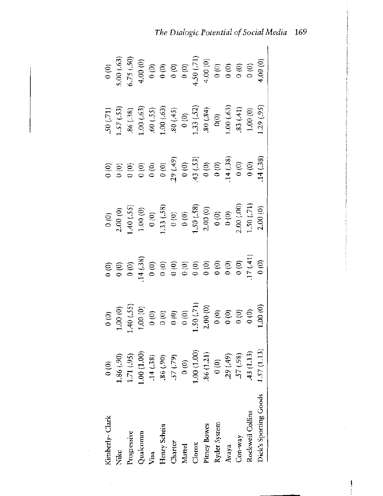| Cimberly-Clark        | $\frac{1}{2}$                                  | $\frac{1}{2}$     |                                                                                                            |                                                      |                                                                      | (50)(71)      |                                                              |
|-----------------------|------------------------------------------------|-------------------|------------------------------------------------------------------------------------------------------------|------------------------------------------------------|----------------------------------------------------------------------|---------------|--------------------------------------------------------------|
| <b>Jike</b>           | 1.86(.90)                                      | 1.00(0)           |                                                                                                            | $\begin{array}{c} 0 & (0) \\ 2.00 & (0) \end{array}$ |                                                                      | 1.57(.53)     | $0(0)$<br>5.00 (.63)                                         |
| rogressive            | 1.71(0.95)                                     | 1.40(.55)         |                                                                                                            | 1.40(.55)                                            |                                                                      | .86(.38)      | 6.75(0.50)                                                   |
| $\lambda$ ualcomm     | (00(1,00)                                      | 1.00(0)           | $\begin{array}{c} 0 & 0 \\ 0 & 0 \\ 0 & 0 \\ 0 & 0 \end{array}$<br>$\begin{array}{c} 14 & 138 \end{array}$ | 1.00(0)                                              | $0,00$<br>$0,00$<br>$0,00$<br>$0,00$<br>$0,00$<br>$0,00$<br>$0,49$   | 1.00(0.63)    | 4.00(0)                                                      |
| Visa                  | .14(.38)                                       | $\frac{1}{2}$     |                                                                                                            | (0)                                                  |                                                                      | .60(.55)      | $\begin{array}{c} 0 \\ 0 \\ 0 \\ 0 \\ 0 \\ 0 \\ \end{array}$ |
| Henry Schein          | (06, 98,                                       | 0(0)              |                                                                                                            | 1.33(58)                                             |                                                                      | 1.00(63)      |                                                              |
| Charter               | $(62)$ $(25)$                                  | $\frac{1}{2}$     |                                                                                                            |                                                      |                                                                      | (54, 0.85)    |                                                              |
| Mattel                | $\begin{pmatrix} 0 & 0 \\ 0 & 0 \end{pmatrix}$ | 0(0)              |                                                                                                            | $\begin{array}{c} 0 & 0 \\ 0 & 0 \end{array}$        | (0)                                                                  | $\frac{1}{2}$ |                                                              |
| Clor <i>x</i>         | 1.00(1.00)                                     | 1.50 (.71)        |                                                                                                            | 1.50(.58)                                            | .43(.53)                                                             | 1.33(52)      | 4.50 (.71)                                                   |
| limey Bowes           | 86 (1.21)                                      | 2.00(0)           |                                                                                                            | 2.00(0)                                              |                                                                      | (84, 80)      | 4.00 (0)                                                     |
| Ryder System          | 0(0)                                           | $\widehat{c}$     |                                                                                                            |                                                      | $\begin{pmatrix} 0 & 0 \\ 0 & 0 \\ 0 & 0 \\ 14 & 0.38 \end{pmatrix}$ | 0(0)          |                                                              |
| Avaya                 | $(64)$ (.49)                                   | 0(0)              |                                                                                                            | 0(0)                                                 |                                                                      | 1.00(63)      | $0$<br>$0$<br>$0$<br>$0$<br>$0$<br>$0$<br>$0$<br>$0$<br>$0$  |
| Con-way               | $(86')$ $\angle$ 5.                            |                   |                                                                                                            | 2.00(0.00)                                           | $0\ (0)$                                                             | .83(41)       |                                                              |
| Rockwell Collins      | .43(1.13)                                      | $\widehat{0}$ (0) | .17(41)                                                                                                    | .50(.71                                              | 0(0)                                                                 | $1.00(0)$     |                                                              |
| Dick's Sporting Goods | 1.57(1.13)                                     | $(0)$ $(0)$ .     | 0(0)                                                                                                       | 2.00(0)                                              | .14(.38)                                                             | (0.95)        | 4.00(0)                                                      |
|                       |                                                |                   |                                                                                                            |                                                      |                                                                      |               |                                                              |

ţ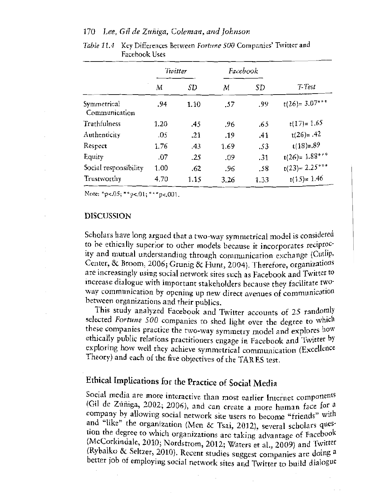#### 170 *T...ee, Gil de Zuniga, Coleman, and Johnson*

|                              | Twitter |      | Facebook |           |                   |
|------------------------------|---------|------|----------|-----------|-------------------|
|                              | M       | SD   | M        | <b>SD</b> | T-Test            |
| Symmetrical<br>Communication | .94     | 1.10 | .57      | .99       | $t(26) = 3.07***$ |
| Truthfulness                 | 1.20    | .45  | .96      | .65       | $t(17)=1.65$      |
| Authenticity                 | .05     | .21  | .19      | .41       | $t(26) = .42$     |
| Respect                      | 1.76    | .43  | 1.69     | .53       | $t(18)=.89$       |
| Equity                       | .07     | .25  | .09      | .31       | $t(26)=1.88***$   |
| Social responsibility        | 1.00    | .62  | .96      | .58       | $t(23) = 2.25***$ |
| Trustworthy                  | 4.70    | 1.15 | 3.26     | 1.33      | $t(15) = 1.46$    |

| Table 11.4 Key Differences Between Fortune 500 Companies' Twitter and<br><b>Facebook Uses</b> |
|-----------------------------------------------------------------------------------------------|
|                                                                                               |

Note:  $*_{p<.05}$ ;  $*_{p<.01}$ ;  $*_{*_{p<.001}$ .

#### DISCUSSION

Scholars have long argued that a two-way symmetrical model is considered to has have forg argued that a two-way symmetrical model is considered.  $\alpha$  is compared superior to other models because it incorporates recipive ity and mutual understanding through communication exchange (Cutlip, Center, & Broom, 2006; Grunig & Hunt, 2004). Therefore, organizations are increasingly using social network sites such as Facebook and Twitter to increase dialogue with important stakeholders because they facilitate twoereuse mangae with important stakeholders because they facilitate two<br>avecommunication by an existence of the contract average direction af communication by opening up new d between organizations and their publics.<br>This study analyzed Facebook and Twitter accounts of 25 randomly

selected *Fortune* 500 companies to shell like accounts of 25 rangements these companies practice the two-way shed in the two-way symmetry model and explores how the twothese companies practice the two-way symmetry model and explores how ethically public relations practitioners engage in Facebook and Twitter by exploring how well they achieve symmetrical communication (Excellence Theory) and each of the five objectives of the TARES test.

## Ethical Implications for the Practice of Social Media

Social media are more interactive than most earlier Internet components Seiar media are more interactive than most earlier Internet components.<br>Fil de Zúñiga, 2002; 2006; and c (Gil de Zúñiga, 2002; 2006), and can create a more human face for a company by allowing social network site users to become "friends" with and "like" the organization (Men & Tsai, 2012), several scholars question the degree to which organizations are taking advantage of Facebook (McCorkindale, 2010; Nordstrom, 2012; Waters et al., 2009) and Twitter (Rybalko & Seltzer, 2010). Recent studies suggest companies are doing a better job of employing social network sites and Twitter to build dialogue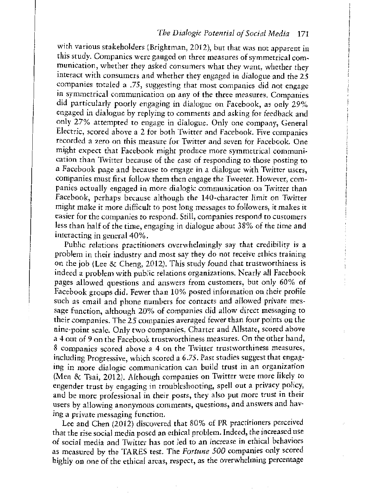with various stakeholders (Brightman, 2012), but that was not apparent in this study. Companies were gauged on three measures of symmetrical cornmunication, whether they asked consumers what they want, whether they interact with consumers and whether they engaged in dialogue and the 25 companies totaled a .75, suggesting that most companies did not engage in symmetrical communication on any of the three measures. Companies did particularly poorly engaging in dialogue on Facebook, as only 29% engaged in dialogue by replying to comments and asking for feedback and only 27% attempted to engage in dialogue. Only one company, General Electric, scored above a 2 for both Twitter and Facebook. Five companies recorded a zero on this measure for Twitter and seven for Facebook. One might expect that Facebook might produce more symmetrical communication than Twitter because of the ease of responding to those posting to a Facebook page and because to engage in a dialogue with Twitter users, companies must first follow them then engage the Tweeter. However, companies actually engaged in more dialogic communication on Twitter than Facebook, perhaps because although the 140-character limit on Twitter might make it more difficult to post long messages to followers, it makes it easier for the companies to respond. Still, companies respond to customers Jess than half of the time, engaging in dialogue about 38% of the time and interacting in general 40%.

Public relations practitioners overwhelmingly say that credibility is a problem in their industry and most say they do not receive ethics training on the job (Lee & Cheng, 2012). This study found that trustworthiness is indeed a problem with public relations organizations. Nearly all Facebook pages allowed questions and answers from customers, but only 60% of Facebook groups did. Fewer than 10% posted information on their profile such as email and phone numbers for contacts and allowed private message function, although 20% of companies did allow direct messaging to their companies. The 25 companies averaged fewer than four points on the nine-point scale. Only two companies, Charter and Allstate, scored above a 4 out of 9 on the Facebook trustworthiness measures. On the other hand, 8 companies scored above a 4 on the Twitter trustworthiness measures, including Progressive, which scored a 6.75. Past studies suggest that engaging in more dialogic communication can build trust in an organization (Men & Tsai, 2012). Although companies on Twitter were more likely to engender trust by engaging in troubleshooting, spell out a privacy policy, and be more professional in their posts, they also put more trust in their users by allowing anonymous comments, questions, and answers and having a private messaging function.

Lee and Chen (2012) discovered that 80% of PR practitioners perceived that the rise social media posed an ethical problem. Indeed, the increased use of social media and Twitter has not led to an increase in ethical behaviors as measured by the TARES test. The *Fortune 500* companies only scored highly on one of the ethical areas, respect, as the overwhelming percentage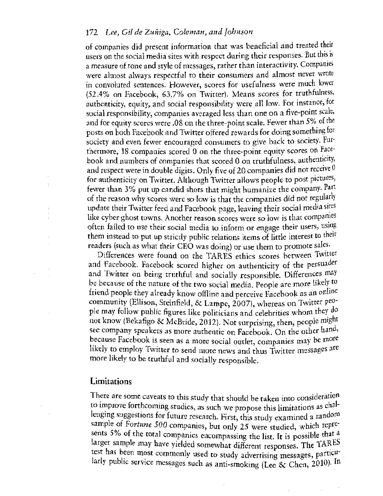#### 172 *Lee, Gil de Zuhiga, Coleman, and Johnson*

 $\sim$  companies did present information that was beneficial and treated their companies did present information that was beneficial and treated their users on the social media sites with respect during their responses. But this is<br>a measure of tone and style of messages, rather than interactivity. Companies measure of fone and style of messages, father than interactivity. Companies ere aimost aiways respectius to their consumers and amost never much lower in convoluted sentences. However, scores for usefulness were much lower (52.4% on Facebook, 63.7% on Twitter). Means scores for truthfulness, authenticity, equity, and social responsibility were all low. For instance, for social responsibility, companies averaged less than one on a five-point scale, and for equity scores were .08 on the three-point scale. Fewer than 5% of the posts on both Facebook and Twitter offered rewards for doing something for sts on both racebook and Iwitter offered rewards for doing solutions of society and even fewer encouraged consumers to give back to society. Furthermore, 18 companies scored 0 on the three-point equity scores on Facebook and numbers of companies that scored O on truthfulness, authenticity, or and numbers of companies that scored 0 on truttifulness, authentic  $\gamma$ for authenticity on Twitter. Although Twitter allows people to post pictures, for authenticity on Twitter. Although Twitter allows people to post pictures, fewer than 3% put up candid shots that might humanize the company. Part  $\alpha$  the reason why scores were so low is that the companies did not requisity update their Twitter feed and  $F_{\text{scat}}$  both page  $\frac{1}{2}$  and  $\frac{1}{2}$  media sites update their Twitter feed and Facebook page, leaving their social media sites like cyber ghost towns. Another reason scores were so low is that companies often failed to use their social media to information failed to users, using ten failed to use their social media to inform or engage their users, using<br>eminated to put up strictly public relations in order interest to their them instead to put up strictly public relations items of little interest to their<br>readers (such as what their CEO was doing) or use them to promote sales.

Differences were found on the TARES ethics scores between Twitter and Facebook. Facebook scored higher on authenticity of the persuader and Taccbook. Taccbook scored higher on authenticity of the personal and Twitter on being truthful and socially responsible. Differences may be because of the nature of the two social media. People are more likely to friend people they already began contained and people are more investigated by the percent on  $\ln R$ chd people they alteady know offline and perceive Facebook as all online<br>monupity (Ellison, Steinfield, 85 Lampe, 2007), whereas Twitter peor community (Ellison, Steinfield, & Lampe, 2007), whereas on Twitter people may follow public figures like politicians and celebrities whom they do not know (Bekafigo & McBride, 2012). Not surprising, then, people might see company speakers as more authentic on Facebook. On the other hand,  $\epsilon$  company speakers as more authentic on Facebook. On the other matrix Leads Factbook is seen as a more social outlet, companies may be  $\mu$ likely to employ Twitter to send more news and thus Twitter messages are more likely to be truthful and socially responsible.

#### Limitations

 $T_{\text{eff}}$  are some caveats to this study that should be the taken into consideration there are some cavears to this study that should be taken into considerations improve forthcoming and is a considerations as chalto improve forthcoming studies, as such we propose this limitations as challenging suggestions for future research. First, this study examined a random sample of *Fortune* 500 companies, but only 25 weeks which represent to the total companies, but only 25 were studied, which  $\frac{1}{2}$  is  $\frac{5\%}{100}$  of the total companies and in the list. It is possible that a sents 5% of the total companies encompassing the list. It is possible that a larger sample may have yielded somewhat different responses. The TARES test has been most commonly used to study advertising messages, particularly public service messages such as anti-smoking (Lee & Chen, 2010). In

 $\sim$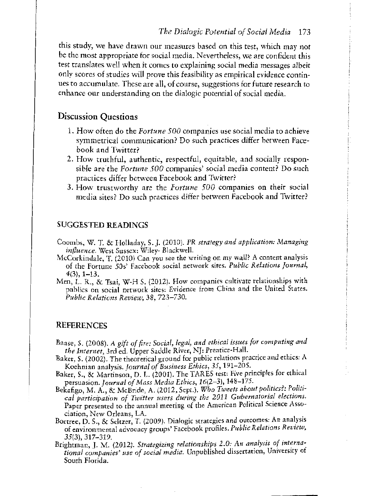this study, we have drawn our measures based on this test, which may not be the most appropriate for social media. Nevertheless, we are confident this test translates well when it comes to explaining social media messages albeit only scores of studies will prove this feasibility as empirical evidence continues to accumulate. These are all, of course, suggestions for future research to enhance our understanding on the dialogic potential of social media.

## Discussion Questions

- 1. How often do the *Fortune 500* companies use social media to achieve symmetrical communication? Do such practices differ between Facebook and Twitter?
- 2. How truthful, authentic, respectful, equitable, and socially responsible are the *Fortune 500* companies' social media content? Do such practices differ between Facebook and Twitter?
- 3. How trustworthy are the *Fortune SOO* companies on their social media sites? Do such practices differ between Facebook and Twitter?

#### SUGGESTED READINGS

oombs, W. T. & Holladay, S. J. (2010). *PR strategy and application: Managing*<br>*influence. West Sussex: Wiley- Blackwell*. McCorkindale, T. (2010) Can you see the writing on my wall? A content analysis

- of the Fortune 50s' Facebook social network sites. *Public Relations Journal,*  of the Fortune 50s' Facebook social network sites. Public Relations Journal, 4(3), 1-13.
- Men, L. R., & Tsai, W-H S. (2012). How companies cultivate relationships with publics on social network sites: Evidence from China and the United States. *Public Relations Review,* 38, 723-730.

#### REFERENCES

- Baase, S. (2008). *A gift of fire: Social, legal, and ethical issues for computing and the Internet,* 3rd ed. Upper Saddle River, NJ: Prentice-Hall.
- the Internet, 3rd ed. Upper Saddle River, NJ: Prentice-Hall.<br>Baker, S. (2002). The theoretical ground for public relations practice and ethics: A Koehnian analysis. *Journal of Business Ethics, 35,* 191-205.
- Bacher, S., Baker, S., S., Baker, S., & Martinson, D. L. (2001). The TADES test: Five principles for ethical persuasion. *Journal of Mass Media Ethics,* 16(2-3), 148-175.
- persuasion. Journal of Mass Media Ethics, 16(2-3), 148-175.<br>Bekafigo, M. A., & McBride, A. (2012, Sept.). *Who Tweets about politics?*: Politi*cal participation of Twitter users during the 2011 Gubernatorial elections.*  participation of Twitter users auring the 2011 Gubernatorial circulous.<br>---- we easily a the annual meeting of the American Political Science Assoaper presented to the annu<br>ation, New Orleans, LA.
- Bortree, D.S., & Seltzer, T. (2009). Dialogic strategies and outcomes: An analysis of environmental advocacy groups' Facebook profiles. *Public Relations Review,*  t environmenta<br>5(3), 317.,319.
- Brightman, J. M. (2012). *Strategizing relationships 2.0: An analysis of international companies' use of social media.* Unpublished dissertation, University of onai companii<br>aath Florida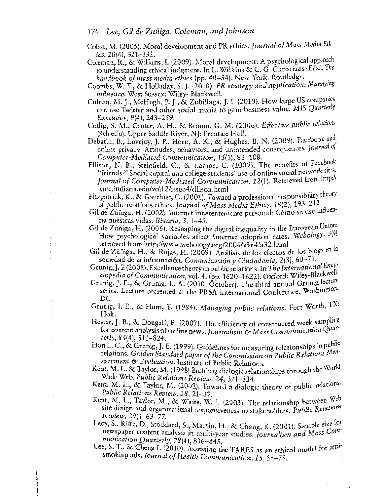Cobat, M. {2005). Moral development and PR ethics. *Journal of Mass Media Ethi*, M. (2005). Moral development and PR ethics. *Journal of Mass M* 

ics, 20(4), 321–332.<br>leman, R., & Wilkins, L (2009). Moral development: A psychological approach to understanding ethical judgment. In L. Wilkins & C. G. Christians (Eds.), The bandbook of mass media ethics (pp. 40–54). New York: Routledge.

- Coombs, W. T., & Holladay, S. J. (2010). PR strategy and application: Managing<br>*influence*. West Sussex: Wiley- Blackwell. influence. West Sussex: Wiley-Blackwell. The Massex of The American How large US companies
- n, M. J., McHugh, P. J., & Zubillaga, J. I. (2010). How large US companies can use Twitter and other social media to gain business value. MIS Quarterly Executive, 9(4), 243-259. Executive, 9(4), 243–259.
- tlip, S. M., Center, A. H., & Broom, G. M. (2006). *Effective public relations*<br>(9th edn). Upper Saddle River, NJ: Prentice Hall.<br>hatin, B. J. pusies: J. B. User, A. K., <sup>87</sup>, Hacken, B. N. (2009). Facebook and
- Debatin, B., Lovejoy, J. P., Horn, A. K., & Hughes, B. N. (2009). Facebook and online privacy: Attitudes, behaviors, and unintended consequences. Journal of Computer-Mediated Communication, 15(1), 83–108.
- Ellison, N. B., Steinfield, C., & Lampe, C. (2007). The benefits of Facebook "friends:" Social capital and college students' use of online social network sites. Journal of Computer-Mediated Communication, 12(1). Retrieved from http://<br>jcmc.indiana.edu/vol12/issue4/ellison.html jcmc.indiana.edu/vol12/issue4/ellison.html interval responsible a professional responsible responsible a professional responsible a professional responsible and responsible a professional responsible and responsible a prof
- of trick, K., & Gauthier, C. (2001). Toward a professional responsibility <sup>in</sup> of public relations ethics. Journal of Mass Media Ethics, 16(2), 193–212
- Gil de Zúñiga, H. (2002). Internet inherentemente personal: Cómo su uso influencia nuestras vidas. *Binaria*, 3, 1–45.  $Cia$  nuestras vidas. *Binaria*, 3, 1–45.
- Zúñiga, H. (2006). Reshaping the digital inequality in the European Union  $\frac{2}{4}$ How psychological variables affect Internet adoption rates. Webology. 3(4) retrieved from http://www.webology.org/2006/v3n4/a32.html
- Gil de Zúñiga, H., & Rojas, H. (2009). Análisis de los efectos de los blogs en la sociedad de la información. Co*municación y Ciudadanía,* 2(3), 60–71.
- Grunig, J. E (2008). Excellence theory in public relations. In The International Encyclopedia of Communication, vol. 4, (pp. 1620-1622). Oxford: Wiley-Blackwell.
- Grunig, J. E., & Grunig, L. A. (2010, October). The third annual Grunig lecture series. Lecture presented at the PRSA international Conference, Washington, Grunig, J. E., & Hunt, T. (1984). *Managing public relations.* Fort Worth, TX:
- g, J. Hester, J. B., & Dou~all, E .. (2007). The efficiency of constructed \~eek. samplin;.
- for content analysis of online news. *Journalism & Mass Commumcatiott Qita*  for content analysis of online news. Journalism & Mass Communication Quarterly, 84(4), 811-824.  $\text{terly, } 84(4), 811 - 824.$
- . C., & Grunig, J. E. (1999). Guidelines for measuring relationships in Public relations. Golden Standard paper of the Commission on Public Relations<sup>Mea-</sup> surement & Evaluation. Institute of Public Relations.
- Kent, M. L. & Taylor, *M.* (1998) Building dialogic relationships through the World Wide Web. Public Relations Review. 24, 321–334.
- Kent, M. L., & Taylor, M. (2002). Toward a dialogic theory of public relations.<br>Public Relations Review, 28, 21–37. Public Relations Review, 28, 21–37.<br>nt. M. J. (Taylor, M. Web
- site Fig. 1 aylor, M., & White, W. J. (2003). The relationship between  $\frac{W_{\text{F}}}{W_{\text{F}}}$ site design and organizational responsiveness to stakeholders. *Public Relations*<br>Review, 29(1) 63–77.
- Review, 29(1) 63–77.<br>cy, S., Riffe, D., Stoddard, S., Martin, H., & Chang, K. (2001). Sample size f<sup>or</sup> and *Content* newspaper content analysis in multi-year studies. Journalism and Mass Communication Quarterly, 78(4), 836–845.
- Lee, S. T., & Cheng I. (2010). Assessing the TARES as an ethical model for antisimoking ads. *Journal of Health Communication*, 15, 55-75.